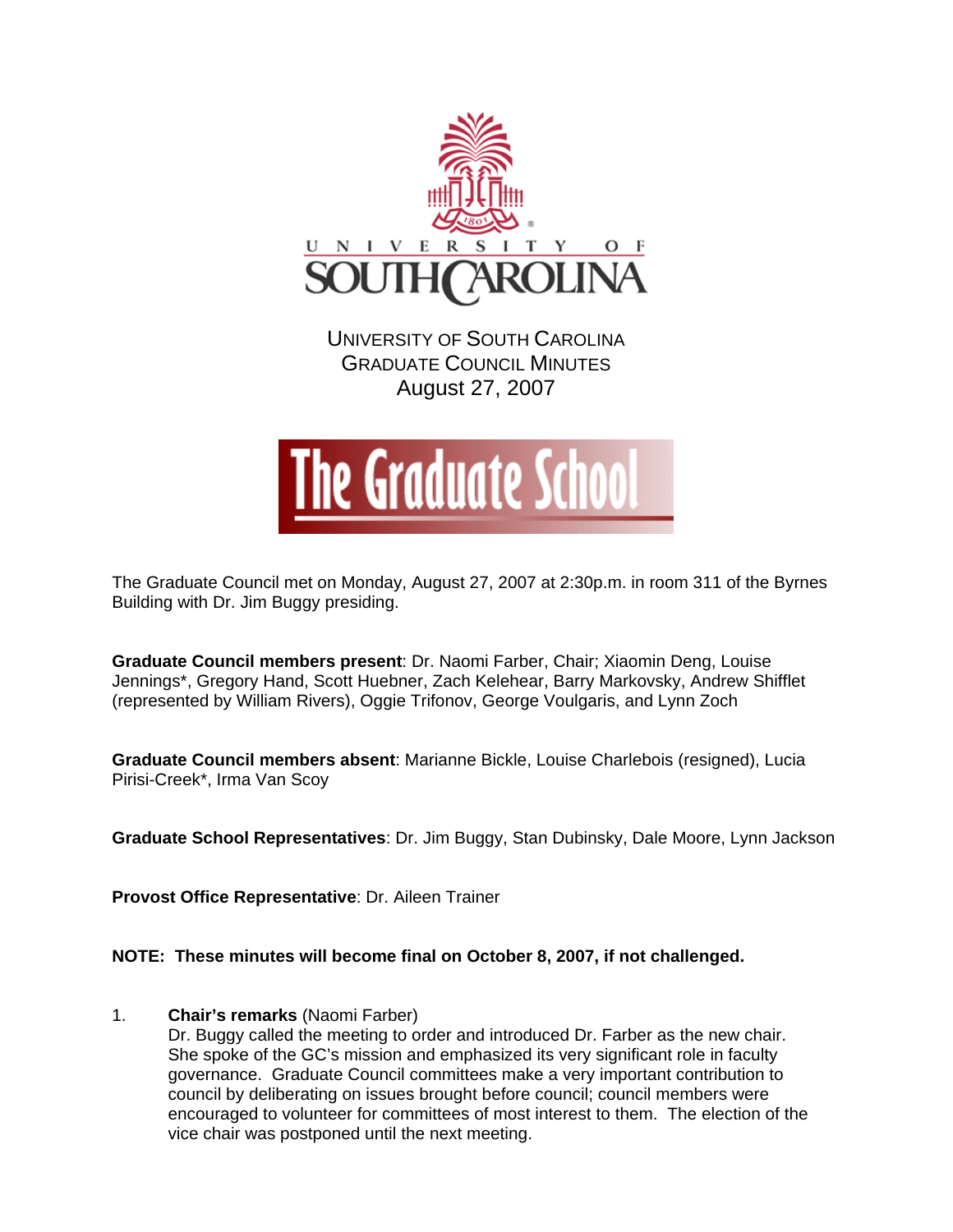

UNIVERSITY OF SOUTH CAROLINA GRADUATE COUNCIL MINUTES August 27, 2007



The Graduate Council met on Monday, August 27, 2007 at 2:30p.m. in room 311 of the Byrnes Building with Dr. Jim Buggy presiding.

**Graduate Council members present**: Dr. Naomi Farber, Chair; Xiaomin Deng, Louise Jennings\*, Gregory Hand, Scott Huebner, Zach Kelehear, Barry Markovsky, Andrew Shifflet (represented by William Rivers), Oggie Trifonov, George Voulgaris, and Lynn Zoch

**Graduate Council members absent**: Marianne Bickle, Louise Charlebois (resigned), Lucia Pirisi-Creek\*, Irma Van Scoy

**Graduate School Representatives**: Dr. Jim Buggy, Stan Dubinsky, Dale Moore, Lynn Jackson

**Provost Office Representative**: Dr. Aileen Trainer

**NOTE: These minutes will become final on October 8, 2007, if not challenged.**

## 1. **Chair's remarks** (Naomi Farber)

Dr. Buggy called the meeting to order and introduced Dr. Farber as the new chair. She spoke of the GC's mission and emphasized its very significant role in faculty governance. Graduate Council committees make a very important contribution to council by deliberating on issues brought before council; council members were encouraged to volunteer for committees of most interest to them. The election of the vice chair was postponed until the next meeting.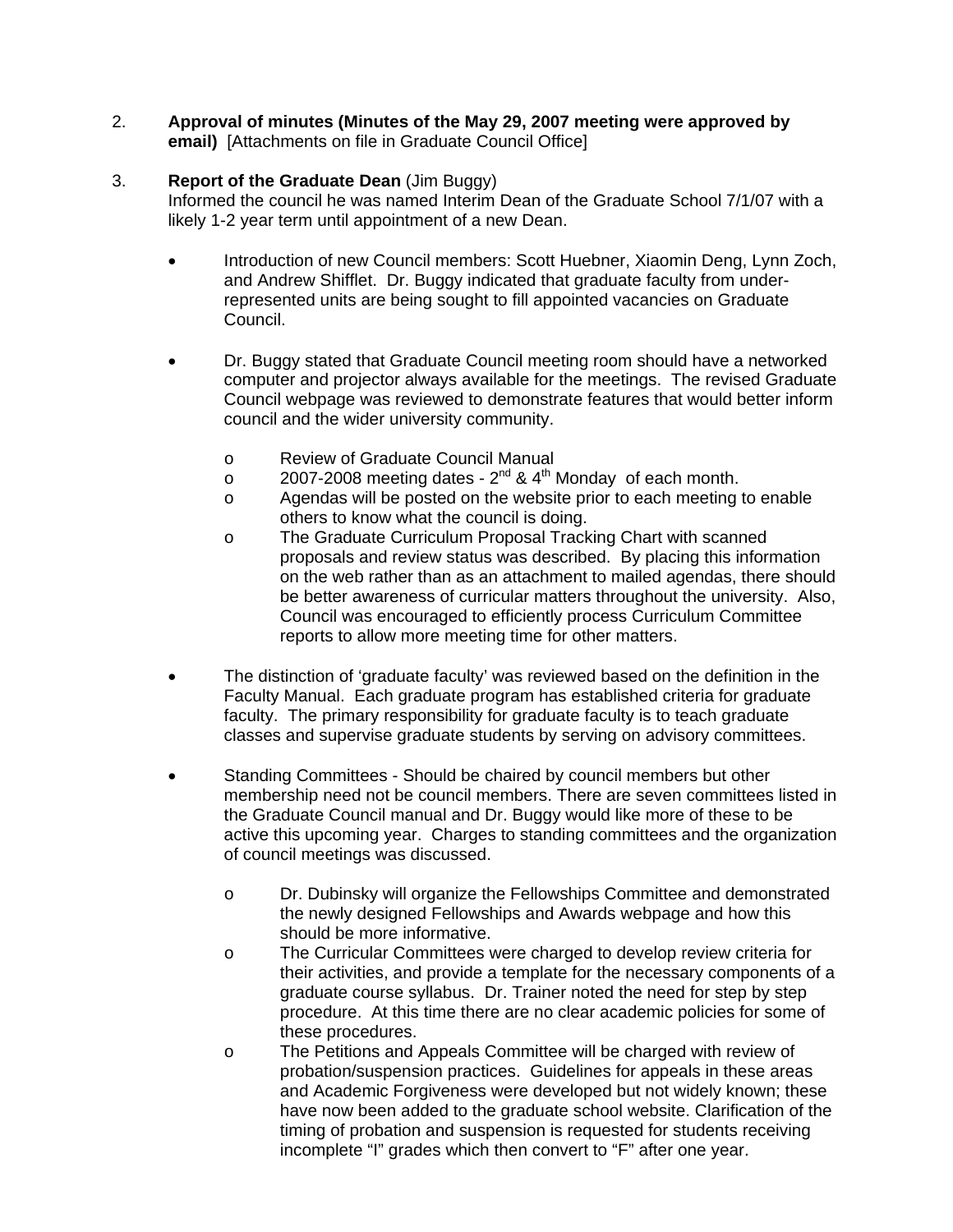2. **Approval of minutes (Minutes of the May 29, 2007 meeting were approved by email)** [Attachments on file in Graduate Council Office]

## 3. **Report of the Graduate Dean** (Jim Buggy)

Informed the council he was named Interim Dean of the Graduate School 7/1/07 with a likely 1-2 year term until appointment of a new Dean.

- Introduction of new Council members: Scott Huebner, Xiaomin Deng, Lynn Zoch, and Andrew Shifflet. Dr. Buggy indicated that graduate faculty from underrepresented units are being sought to fill appointed vacancies on Graduate Council.
- Dr. Buggy stated that Graduate Council meeting room should have a networked computer and projector always available for the meetings. The revised Graduate Council webpage was reviewed to demonstrate features that would better inform council and the wider university community.
	- o Review of Graduate Council Manual
	- $\sim$  2007-2008 meeting dates 2<sup>nd</sup> & 4<sup>th</sup> Monday of each month.
	- o Agendas will be posted on the website prior to each meeting to enable others to know what the council is doing.
	- o The Graduate Curriculum Proposal Tracking Chart with scanned proposals and review status was described. By placing this information on the web rather than as an attachment to mailed agendas, there should be better awareness of curricular matters throughout the university. Also, Council was encouraged to efficiently process Curriculum Committee reports to allow more meeting time for other matters.
- The distinction of 'graduate faculty' was reviewed based on the definition in the Faculty Manual. Each graduate program has established criteria for graduate faculty. The primary responsibility for graduate faculty is to teach graduate classes and supervise graduate students by serving on advisory committees.
- Standing Committees Should be chaired by council members but other membership need not be council members. There are seven committees listed in the Graduate Council manual and Dr. Buggy would like more of these to be active this upcoming year. Charges to standing committees and the organization of council meetings was discussed.
	- o Dr. Dubinsky will organize the Fellowships Committee and demonstrated the newly designed Fellowships and Awards webpage and how this should be more informative.
	- o The Curricular Committees were charged to develop review criteria for their activities, and provide a template for the necessary components of a graduate course syllabus. Dr. Trainer noted the need for step by step procedure. At this time there are no clear academic policies for some of these procedures.
	- o The Petitions and Appeals Committee will be charged with review of probation/suspension practices. Guidelines for appeals in these areas and Academic Forgiveness were developed but not widely known; these have now been added to the graduate school website. Clarification of the timing of probation and suspension is requested for students receiving incomplete "I" grades which then convert to "F" after one year.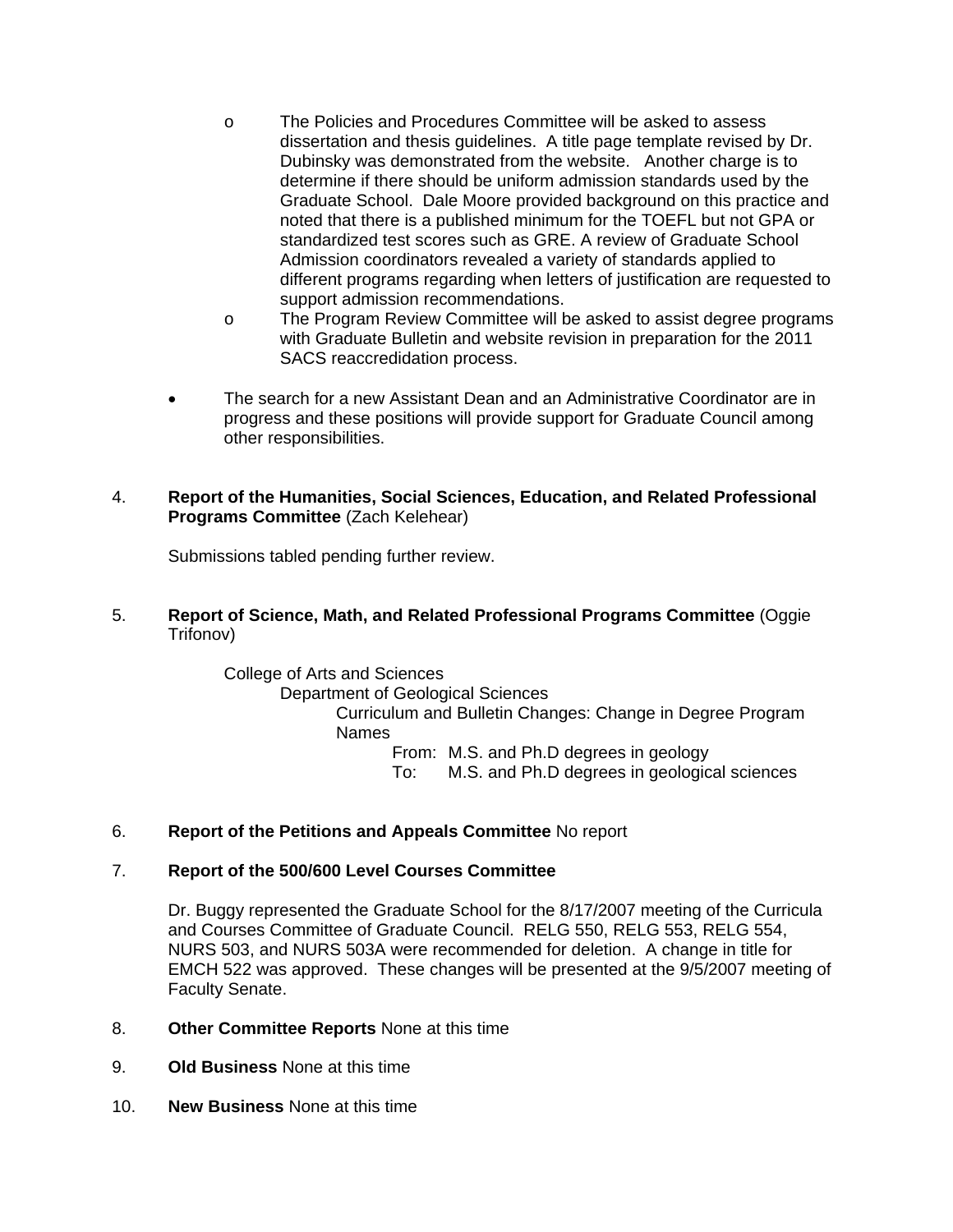- o The Policies and Procedures Committee will be asked to assess dissertation and thesis guidelines. A title page template revised by Dr. Dubinsky was demonstrated from the website. Another charge is to determine if there should be uniform admission standards used by the Graduate School. Dale Moore provided background on this practice and noted that there is a published minimum for the TOEFL but not GPA or standardized test scores such as GRE. A review of Graduate School Admission coordinators revealed a variety of standards applied to different programs regarding when letters of justification are requested to support admission recommendations.
- o The Program Review Committee will be asked to assist degree programs with Graduate Bulletin and website revision in preparation for the 2011 SACS reaccredidation process.
- The search for a new Assistant Dean and an Administrative Coordinator are in progress and these positions will provide support for Graduate Council among other responsibilities.
- 4. **Report of the Humanities, Social Sciences, Education, and Related Professional Programs Committee** (Zach Kelehear)

Submissions tabled pending further review.

5. **Report of Science, Math, and Related Professional Programs Committee** (Oggie Trifonov)

> College of Arts and Sciences Department of Geological Sciences Curriculum and Bulletin Changes: Change in Degree Program Names From: M.S. and Ph.D degrees in geology To: M.S. and Ph.D degrees in geological sciences

## 6. **Report of the Petitions and Appeals Committee** No report

## 7. **Report of the 500/600 Level Courses Committee**

Dr. Buggy represented the Graduate School for the 8/17/2007 meeting of the Curricula and Courses Committee of Graduate Council. RELG 550, RELG 553, RELG 554, NURS 503, and NURS 503A were recommended for deletion. A change in title for EMCH 522 was approved. These changes will be presented at the 9/5/2007 meeting of Faculty Senate.

- 8. **Other Committee Reports** None at this time
- 9. **Old Business** None at this time
- 10. **New Business** None at this time